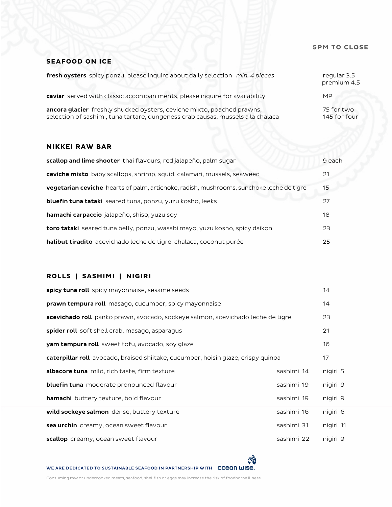### **5PM TO CLOSE**

## **SEAFOOD ON ICE**

| fresh oysters spicy ponzu, please inquire about daily selection min. 4 pieces                                                                             | regular 3.5<br>premium 4.5 |
|-----------------------------------------------------------------------------------------------------------------------------------------------------------|----------------------------|
| caviar served with classic accompaniments, please inquire for availability                                                                                | MP                         |
| ancora glacier freshly shucked oysters, ceviche mixto, poached prawns,<br>selection of sashimi, tuna tartare, dungeness crab causas, mussels a la chalaca | 75 for two<br>145 for four |

## **NIKKEI RAW BAR**

| scallop and lime shooter thai flavours, red jalapeño, palm sugar                                | 9 each |
|-------------------------------------------------------------------------------------------------|--------|
| ceviche mixto baby scallops, shrimp, squid, calamari, mussels, seaweed                          | 21     |
| <b>vegetarian ceviche</b> hearts of palm, artichoke, radish, mushrooms, sunchoke leche de tigre | 15     |
| <b>bluefin tuna tataki</b> seared tuna, ponzu, yuzu kosho, leeks                                | 27     |
| hamachi carpaccio jalapeño, shiso, yuzu soy                                                     | 18     |
| toro tataki seared tuna belly, ponzu, wasabi mayo, yuzu kosho, spicy daikon                     | 23     |
| halibut tiradito acevichado leche de tigre, chalaca, coconut purée                              | 25     |

# **ROLLS | SASHIMI | NIGIRI**

| <b>spicy tuna roll</b> spicy mayonnaise, sesame seeds                             |            | 14        |
|-----------------------------------------------------------------------------------|------------|-----------|
| <b>prawn tempura roll</b> masago, cucumber, spicy mayonnaise                      |            | 14        |
| acevichado roll panko prawn, avocado, sockeye salmon, acevichado leche de tigre   |            | 23        |
| spider roll soft shell crab, masago, asparagus                                    |            | 21        |
| yam tempura roll sweet tofu, avocado, soy glaze                                   |            | 16        |
| caterpillar roll avocado, braised shiitake, cucumber, hoisin glaze, crispy quinoa |            | 17        |
| albacore tuna mild, rich taste, firm texture                                      | sashimi 14 | nigiri 5  |
| bluefin tuna moderate pronounced flavour                                          | sashimi 19 | nigiri 9  |
| <b>hamachi</b> buttery texture, bold flavour                                      | sashimi 19 | nigiri 9  |
| wild sockeye salmon dense, buttery texture                                        | sashimi 16 | nigiri 6  |
| sea urchin creamy, ocean sweet flavour                                            | sashimi 31 | nigiri 11 |
| scallop creamy, ocean sweet flavour                                               | sashimi 22 | nigiri 9  |

ೌ

WE ARE DEDICATED TO SUSTAINABLE SEAFOOD IN PARTNERSHIP WITH **OCEON WISE.** 

Consuming raw or undercooked meats, seafood, shellfish or eggs may increase the risk of foodborne illness